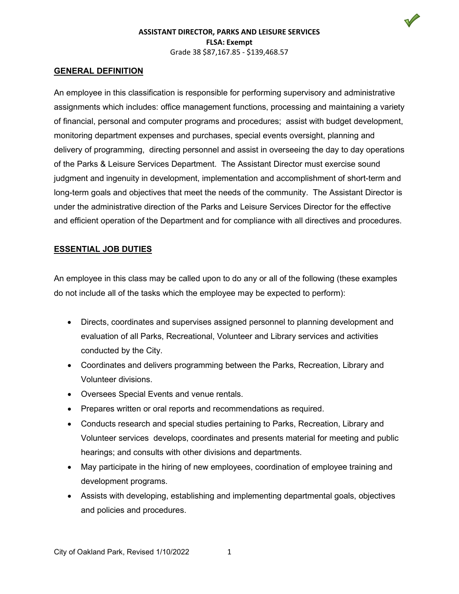### **GENERAL DEFINITION**

An employee in this classification is responsible for performing supervisory and administrative assignments which includes: office management functions, processing and maintaining a variety of financial, personal and computer programs and procedures; assist with budget development, monitoring department expenses and purchases, special events oversight, planning and delivery of programming, directing personnel and assist in overseeing the day to day operations of the Parks & Leisure Services Department. The Assistant Director must exercise sound judgment and ingenuity in development, implementation and accomplishment of short-term and long-term goals and objectives that meet the needs of the community. The Assistant Director is under the administrative direction of the Parks and Leisure Services Director for the effective and efficient operation of the Department and for compliance with all directives and procedures.

# **ESSENTIAL JOB DUTIES**

An employee in this class may be called upon to do any or all of the following (these examples do not include all of the tasks which the employee may be expected to perform):

- Directs, coordinates and supervises assigned personnel to planning development and evaluation of all Parks, Recreational, Volunteer and Library services and activities conducted by the City.
- Coordinates and delivers programming between the Parks, Recreation, Library and Volunteer divisions.
- Oversees Special Events and venue rentals.
- Prepares written or oral reports and recommendations as required.
- Conducts research and special studies pertaining to Parks, Recreation, Library and Volunteer services develops, coordinates and presents material for meeting and public hearings; and consults with other divisions and departments.
- May participate in the hiring of new employees, coordination of employee training and development programs.
- Assists with developing, establishing and implementing departmental goals, objectives and policies and procedures.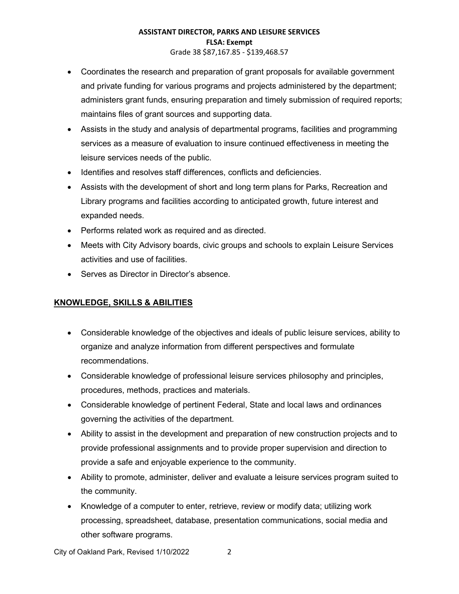### **ASSISTANT DIRECTOR, PARKS AND LEISURE SERVICES FLSA: Exempt** Grade 38 \$87,167.85 - \$139,468.57

- Coordinates the research and preparation of grant proposals for available government and private funding for various programs and projects administered by the department; administers grant funds, ensuring preparation and timely submission of required reports; maintains files of grant sources and supporting data.
- Assists in the study and analysis of departmental programs, facilities and programming services as a measure of evaluation to insure continued effectiveness in meeting the leisure services needs of the public.
- Identifies and resolves staff differences, conflicts and deficiencies.
- Assists with the development of short and long term plans for Parks, Recreation and Library programs and facilities according to anticipated growth, future interest and expanded needs.
- Performs related work as required and as directed.
- Meets with City Advisory boards, civic groups and schools to explain Leisure Services activities and use of facilities.
- Serves as Director in Director's absence

# **KNOWLEDGE, SKILLS & ABILITIES**

- Considerable knowledge of the objectives and ideals of public leisure services, ability to organize and analyze information from different perspectives and formulate recommendations.
- Considerable knowledge of professional leisure services philosophy and principles, procedures, methods, practices and materials.
- Considerable knowledge of pertinent Federal, State and local laws and ordinances governing the activities of the department.
- Ability to assist in the development and preparation of new construction projects and to provide professional assignments and to provide proper supervision and direction to provide a safe and enjoyable experience to the community.
- Ability to promote, administer, deliver and evaluate a leisure services program suited to the community.
- Knowledge of a computer to enter, retrieve, review or modify data; utilizing work processing, spreadsheet, database, presentation communications, social media and other software programs.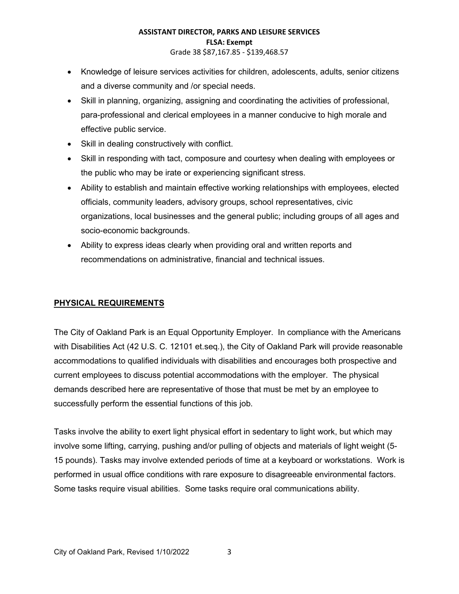### **ASSISTANT DIRECTOR, PARKS AND LEISURE SERVICES FLSA: Exempt** Grade 38 \$87,167.85 - \$139,468.57

- Knowledge of leisure services activities for children, adolescents, adults, senior citizens and a diverse community and /or special needs.
- Skill in planning, organizing, assigning and coordinating the activities of professional, para-professional and clerical employees in a manner conducive to high morale and effective public service.
- Skill in dealing constructively with conflict.
- Skill in responding with tact, composure and courtesy when dealing with employees or the public who may be irate or experiencing significant stress.
- Ability to establish and maintain effective working relationships with employees, elected officials, community leaders, advisory groups, school representatives, civic organizations, local businesses and the general public; including groups of all ages and socio-economic backgrounds.
- Ability to express ideas clearly when providing oral and written reports and recommendations on administrative, financial and technical issues.

# **PHYSICAL REQUIREMENTS**

The City of Oakland Park is an Equal Opportunity Employer. In compliance with the Americans with Disabilities Act (42 U.S. C. 12101 et.seq.), the City of Oakland Park will provide reasonable accommodations to qualified individuals with disabilities and encourages both prospective and current employees to discuss potential accommodations with the employer. The physical demands described here are representative of those that must be met by an employee to successfully perform the essential functions of this job.

Tasks involve the ability to exert light physical effort in sedentary to light work, but which may involve some lifting, carrying, pushing and/or pulling of objects and materials of light weight (5- 15 pounds). Tasks may involve extended periods of time at a keyboard or workstations. Work is performed in usual office conditions with rare exposure to disagreeable environmental factors. Some tasks require visual abilities. Some tasks require oral communications ability.